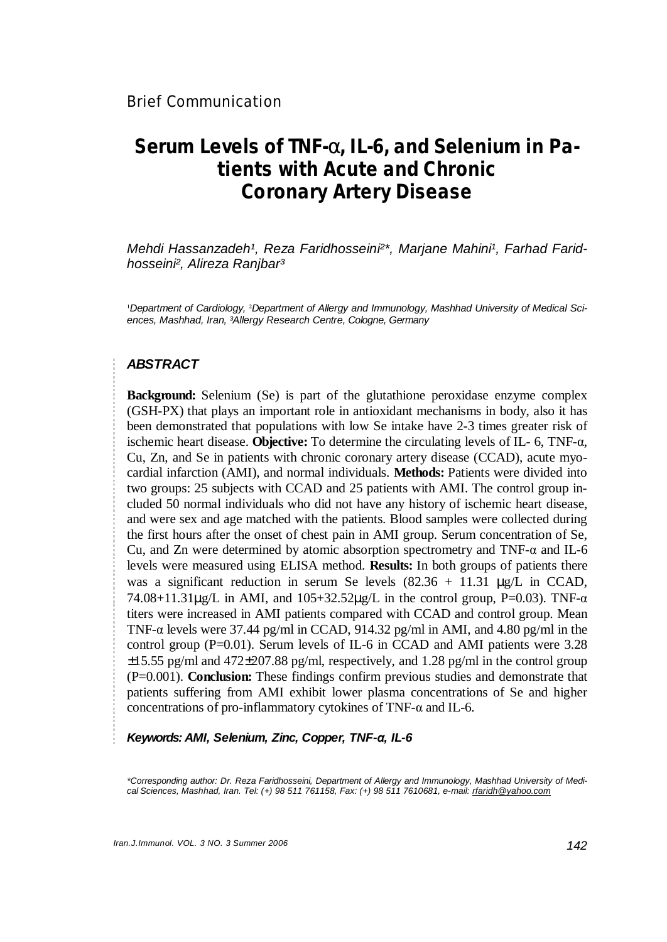# **Serum Levels of TNF-a, IL-6, and Selenium in Patients with Acute and Chronic Coronary Artery Disease**

*Mehdi Hassanzadeh<sup>1</sup>, Reza Faridhosseini<sup>2\*</sup>, Marjane Mahini<sup>1</sup>, Farhad Faridhosseini², Alireza Ranjbar³* 

¹*Department of Cardiology,* ²*Department of Allergy and Immunology, Mashhad University of Medical Sciences, Mashhad, Iran, ³Allergy Research Centre, Cologne, Germany* 

#### *ABSTRACT*

**Background:** Selenium (Se) is part of the glutathione peroxidase enzyme complex (GSH-PX) that plays an important role in antioxidant mechanisms in body, also it has been demonstrated that populations with low Se intake have 2-3 times greater risk of ischemic heart disease. **Objective:** To determine the circulating levels of IL- 6, TNF-α, Cu, Zn, and Se in patients with chronic coronary artery disease (CCAD), acute myocardial infarction (AMI), and normal individuals. **Methods:** Patients were divided into two groups: 25 subjects with CCAD and 25 patients with AMI. The control group included 50 normal individuals who did not have any history of ischemic heart disease, and were sex and age matched with the patients. Blood samples were collected during the first hours after the onset of chest pain in AMI group. Serum concentration of Se, Cu, and Zn were determined by atomic absorption spectrometry and TNF- $\alpha$  and IL-6 levels were measured using ELISA method. **Results:** In both groups of patients there was a significant reduction in serum Se levels  $(82.36 + 11.31 \mu g/L)$  in CCAD, 74.08+11.31 $\mu$ g/L in AMI, and 105+32.52 $\mu$ g/L in the control group, P=0.03). TNF- $\alpha$ titers were increased in AMI patients compared with CCAD and control group. Mean TNF- $\alpha$  levels were 37.44 pg/ml in CCAD, 914.32 pg/ml in AMI, and 4.80 pg/ml in the control group ( $P=0.01$ ). Serum levels of IL-6 in CCAD and AMI patients were 3.28 ±15.55 pg/ml and 472±207.88 pg/ml, respectively, and 1.28 pg/ml in the control group (P=0.001). **Conclusion:** These findings confirm previous studies and demonstrate that patients suffering from AMI exhibit lower plasma concentrations of Se and higher concentrations of pro-inflammatory cytokines of TNF-α and IL-6.

*Keywords: AMI, Selenium, Zinc, Copper, TNF-α, IL-6* 

*\*Corresponding author: Dr. Reza Faridhosseini, Department of Allergy and Immunology, Mashhad University of Medical Sciences, Mashhad, Iran. Tel: (+) 98 511 761158, Fax: (+) 98 511 7610681, e-mail: [rfaridh@yahoo.com](mailto:rfaridh@yahoo.com)*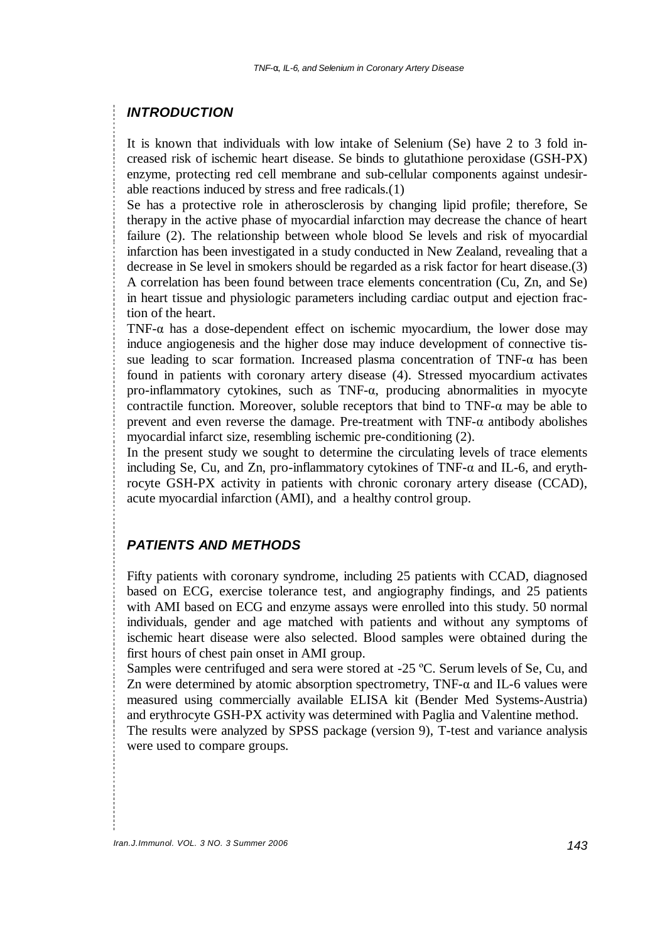#### *INTRODUCTION*

It is known that individuals with low intake of Selenium (Se) have 2 to 3 fold increased risk of ischemic heart disease. Se binds to glutathione peroxidase (GSH-PX) enzyme, protecting red cell membrane and sub-cellular components against undesirable reactions induced by stress and free radicals.(1)

Se has a protective role in atherosclerosis by changing lipid profile; therefore, Se therapy in the active phase of myocardial infarction may decrease the chance of heart failure (2). The relationship between whole blood Se levels and risk of myocardial infarction has been investigated in a study conducted in New Zealand, revealing that a decrease in Se level in smokers should be regarded as a risk factor for heart disease.(3) A correlation has been found between trace elements concentration (Cu, Zn, and Se) in heart tissue and physiologic parameters including cardiac output and ejection fraction of the heart.

TNF- $\alpha$  has a dose-dependent effect on ischemic myocardium, the lower dose may induce angiogenesis and the higher dose may induce development of connective tissue leading to scar formation. Increased plasma concentration of TNF-α has been found in patients with coronary artery disease (4). Stressed myocardium activates pro-inflammatory cytokines, such as TNF-α, producing abnormalities in myocyte contractile function. Moreover, soluble receptors that bind to  $TNF-\alpha$  may be able to prevent and even reverse the damage. Pre-treatment with  $TNF-\alpha$  antibody abolishes myocardial infarct size, resembling ischemic pre-conditioning (2).

In the present study we sought to determine the circulating levels of trace elements including Se, Cu, and Zn, pro-inflammatory cytokines of TNF-α and IL-6, and erythrocyte GSH-PX activity in patients with chronic coronary artery disease (CCAD), acute myocardial infarction (AMI), and a healthy control group.

## *PATIENTS AND METHODS*

Fifty patients with coronary syndrome, including 25 patients with CCAD, diagnosed based on ECG, exercise tolerance test, and angiography findings, and 25 patients with AMI based on ECG and enzyme assays were enrolled into this study. 50 normal individuals, gender and age matched with patients and without any symptoms of ischemic heart disease were also selected. Blood samples were obtained during the first hours of chest pain onset in AMI group.

Samples were centrifuged and sera were stored at -25 ºC. Serum levels of Se, Cu, and Zn were determined by atomic absorption spectrometry,  $TNF-\alpha$  and IL-6 values were measured using commercially available ELISA kit (Bender Med Systems-Austria) and erythrocyte GSH-PX activity was determined with Paglia and Valentine method.

The results were analyzed by SPSS package (version 9), T-test and variance analysis were used to compare groups.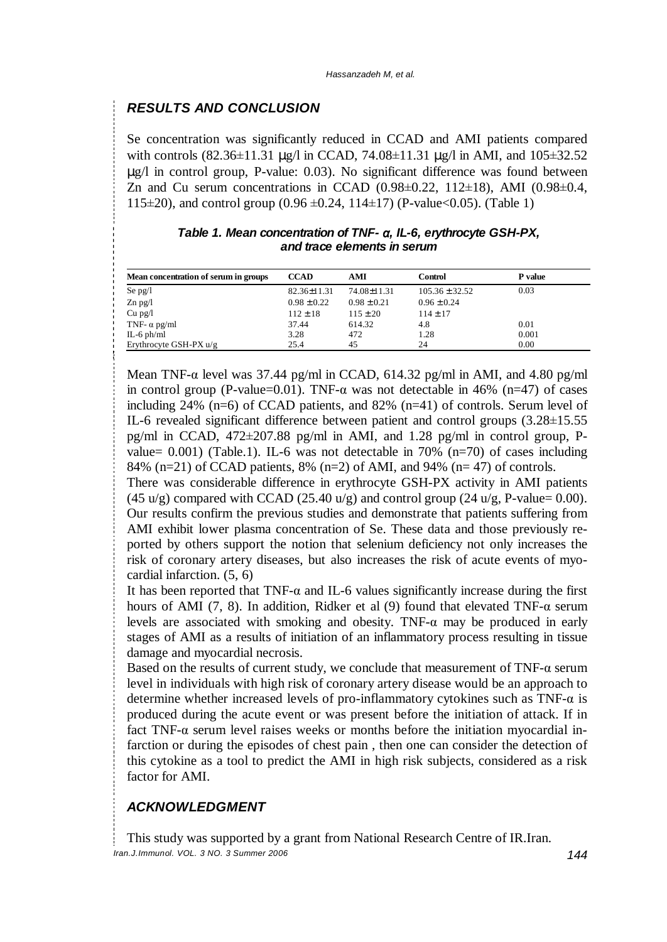# *RESULTS AND CONCLUSION*

Se concentration was significantly reduced in CCAD and AMI patients compared with controls  $(82.36 \pm 11.31 \text{ µg/l} \text{ in CCAD}, 74.08 \pm 11.31 \text{ µg/l} \text{ in AMI}, \text{ and } 105 \pm 32.52$ μg/l in control group, P-value: 0.03). No significant difference was found between Zn and Cu serum concentrations in CCAD  $(0.98\pm0.22, 112\pm18)$ , AMI  $(0.98\pm0.4, 112\pm18)$ 115 $\pm$ 20), and control group (0.96  $\pm$ 0.24, 114 $\pm$ 17) (P-value<0.05). (Table 1)

| Table 1. Mean concentration of $TNF \alpha$ , IL-6, erythrocyte GSH-PX, |  |  |  |  |
|-------------------------------------------------------------------------|--|--|--|--|
| and trace elements in serum                                             |  |  |  |  |

| Mean concentration of serum in groups | <b>CCAD</b>     | AMI             | Control            | P value |
|---------------------------------------|-----------------|-----------------|--------------------|---------|
| Se $pg/l$                             | 82.36±11.31     | 74.08±11.31     | $105.36 \pm 32.52$ | 0.03    |
| $Zn$ pg/l                             | $0.98 \pm 0.22$ | $0.98 \pm 0.21$ | $0.96 \pm 0.24$    |         |
| $Cu$ pg/l                             | $112 \pm 18$    | $115 \pm 20$    | $114 \pm 17$       |         |
| TNF- $\alpha$ pg/ml                   | 37.44           | 614.32          | 4.8                | 0.01    |
| IL-6 $ph/ml$                          | 3.28            | 472             | 1.28               | 0.001   |
| Erythrocyte GSH-PX $u/g$              | 25.4            | 45              | 24                 | 0.00    |

Mean TNF- $\alpha$  level was 37.44 pg/ml in CCAD, 614.32 pg/ml in AMI, and 4.80 pg/ml in control group (P-value=0.01). TNF- $\alpha$  was not detectable in 46% (n=47) of cases including 24% (n=6) of CCAD patients, and 82% (n=41) of controls. Serum level of IL-6 revealed significant difference between patient and control groups (3.28±15.55 pg/ml in CCAD, 472±207.88 pg/ml in AMI, and 1.28 pg/ml in control group, Pvalue=  $0.001$ ) (Table.1). IL-6 was not detectable in 70% (n=70) of cases including 84% (n=21) of CCAD patients, 8% (n=2) of AMI, and 94% (n= 47) of controls.

There was considerable difference in erythrocyte GSH-PX activity in AMI patients (45 u/g) compared with CCAD (25.40 u/g) and control group (24 u/g, P-value= 0.00). Our results confirm the previous studies and demonstrate that patients suffering from AMI exhibit lower plasma concentration of Se. These data and those previously reported by others support the notion that selenium deficiency not only increases the risk of coronary artery diseases, but also increases the risk of acute events of myocardial infarction. (5, 6)

It has been reported that  $TNF-\alpha$  and IL-6 values significantly increase during the first hours of AMI (7, 8). In addition, Ridker et al (9) found that elevated TNF- $\alpha$  serum levels are associated with smoking and obesity. TNF- $\alpha$  may be produced in early stages of AMI as a results of initiation of an inflammatory process resulting in tissue damage and myocardial necrosis.

Based on the results of current study, we conclude that measurement of TNF-α serum level in individuals with high risk of coronary artery disease would be an approach to determine whether increased levels of pro-inflammatory cytokines such as TNF-α is produced during the acute event or was present before the initiation of attack. If in fact TNF-α serum level raises weeks or months before the initiation myocardial infarction or during the episodes of chest pain , then one can consider the detection of this cytokine as a tool to predict the AMI in high risk subjects, considered as a risk factor for AMI.

## *ACKNOWLEDGMENT*

*Iran.J.Immunol. VOL. 3 NO. 3 Summer <sup>2006</sup> 144* This study was supported by a grant from National Research Centre of IR.Iran.